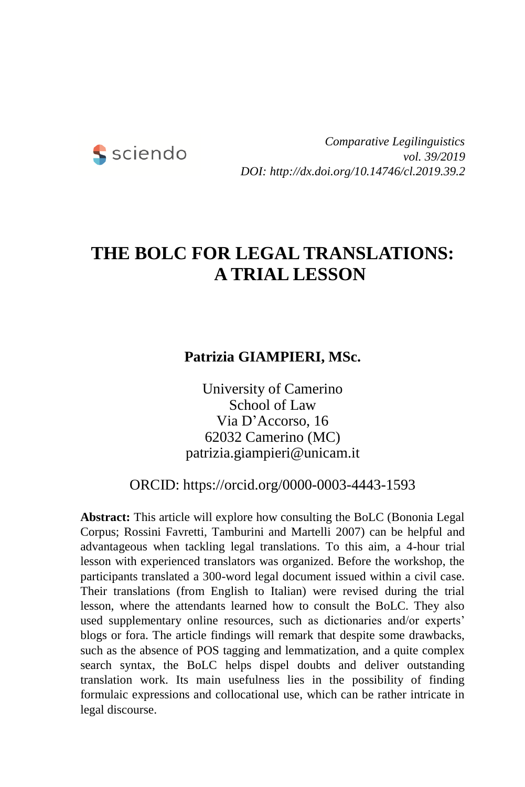

*Comparative Legilinguistics vol. 39/2019 DOI: http://dx.doi.org/10.14746/cl.2019.39.2*

# **THE BOLC FOR LEGAL TRANSLATIONS: A TRIAL LESSON**

### **Patrizia GIAMPIERI, MSc.**

University of Camerino School of Law Via D'Accorso, 16 62032 Camerino (MC) patrizia.giampieri@unicam.it

ORCID: https://orcid.org/0000-0003-4443-1593

**Abstract:** This article will explore how consulting the BoLC (Bononia Legal Corpus; Rossini Favretti, Tamburini and Martelli 2007) can be helpful and advantageous when tackling legal translations. To this aim, a 4-hour trial lesson with experienced translators was organized. Before the workshop, the participants translated a 300-word legal document issued within a civil case. Their translations (from English to Italian) were revised during the trial lesson, where the attendants learned how to consult the BoLC. They also used supplementary online resources, such as dictionaries and/or experts' blogs or fora. The article findings will remark that despite some drawbacks, such as the absence of POS tagging and lemmatization, and a quite complex search syntax, the BoLC helps dispel doubts and deliver outstanding translation work. Its main usefulness lies in the possibility of finding formulaic expressions and collocational use, which can be rather intricate in legal discourse.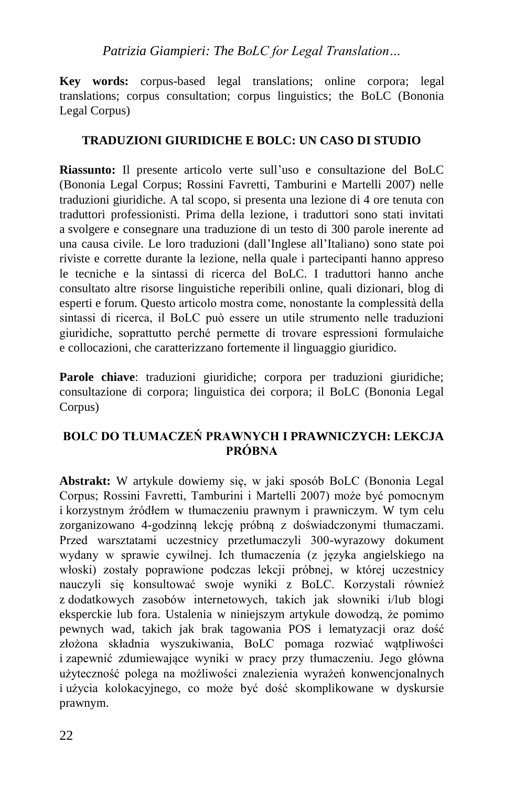**Key words:** corpus-based legal translations; online corpora; legal translations; corpus consultation; corpus linguistics; the BoLC (Bononia Legal Corpus)

#### **TRADUZIONI GIURIDICHE E BOLC: UN CASO DI STUDIO**

**Riassunto:** Il presente articolo verte sull'uso e consultazione del BoLC (Bononia Legal Corpus; Rossini Favretti, Tamburini e Martelli 2007) nelle traduzioni giuridiche. A tal scopo, si presenta una lezione di 4 ore tenuta con traduttori professionisti. Prima della lezione, i traduttori sono stati invitati a svolgere e consegnare una traduzione di un testo di 300 parole inerente ad una causa civile. Le loro traduzioni (dall'Inglese all'Italiano) sono state poi riviste e corrette durante la lezione, nella quale i partecipanti hanno appreso le tecniche e la sintassi di ricerca del BoLC. I traduttori hanno anche consultato altre risorse linguistiche reperibili online, quali dizionari, blog di esperti e forum. Questo articolo mostra come, nonostante la complessità della sintassi di ricerca, il BoLC può essere un utile strumento nelle traduzioni giuridiche, soprattutto perché permette di trovare espressioni formulaiche e collocazioni, che caratterizzano fortemente il linguaggio giuridico.

**Parole chiave**: traduzioni giuridiche; corpora per traduzioni giuridiche; consultazione di corpora; linguistica dei corpora; il BoLC (Bononia Legal Corpus)

#### **BOLC DO TŁUMACZEŃ PRAWNYCH I PRAWNICZYCH: LEKCJA PRÓBNA**

**Abstrakt:** W artykule dowiemy się, w jaki sposób BoLC (Bononia Legal Corpus; Rossini Favretti, Tamburini i Martelli 2007) może być pomocnym i korzystnym źródłem w tłumaczeniu prawnym i prawniczym. W tym celu zorganizowano 4-godzinną lekcję próbną z doświadczonymi tłumaczami. Przed warsztatami uczestnicy przetłumaczyli 300-wyrazowy dokument wydany w sprawie cywilnej. Ich tłumaczenia (z języka angielskiego na włoski) zostały poprawione podczas lekcji próbnej, w której uczestnicy nauczyli się konsultować swoje wyniki z BoLC. Korzystali również z dodatkowych zasobów internetowych, takich jak słowniki i/lub blogi eksperckie lub fora. Ustalenia w niniejszym artykule dowodzą, że pomimo pewnych wad, takich jak brak tagowania POS i lematyzacji oraz dość złożona składnia wyszukiwania, BoLC pomaga rozwiać wątpliwości i zapewnić zdumiewające wyniki w pracy przy tłumaczeniu. Jego główna użyteczność polega na możliwości znalezienia wyrażeń konwencjonalnych i użycia kolokacyjnego, co może być dość skomplikowane w dyskursie prawnym.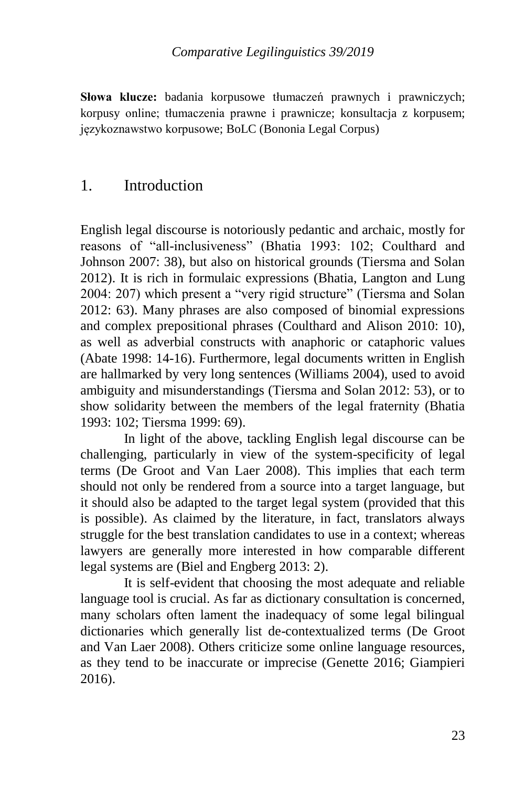**Słowa klucze:** badania korpusowe tłumaczeń prawnych i prawniczych; korpusy online; tłumaczenia prawne i prawnicze; konsultacja z korpusem; językoznawstwo korpusowe; BoLC (Bononia Legal Corpus)

### 1. Introduction

English legal discourse is notoriously pedantic and archaic, mostly for reasons of "all-inclusiveness" (Bhatia 1993: 102; Coulthard and Johnson 2007: 38), but also on historical grounds (Tiersma and Solan 2012). It is rich in formulaic expressions (Bhatia, Langton and Lung 2004: 207) which present a "very rigid structure" (Tiersma and Solan 2012: 63). Many phrases are also composed of binomial expressions and complex prepositional phrases (Coulthard and Alison 2010: 10), as well as adverbial constructs with anaphoric or cataphoric values (Abate 1998: 14-16). Furthermore, legal documents written in English are hallmarked by very long sentences (Williams 2004), used to avoid ambiguity and misunderstandings (Tiersma and Solan 2012: 53), or to show solidarity between the members of the legal fraternity (Bhatia 1993: 102; Tiersma 1999: 69).

In light of the above, tackling English legal discourse can be challenging, particularly in view of the system-specificity of legal terms (De Groot and Van Laer 2008). This implies that each term should not only be rendered from a source into a target language, but it should also be adapted to the target legal system (provided that this is possible). As claimed by the literature, in fact, translators always struggle for the best translation candidates to use in a context; whereas lawyers are generally more interested in how comparable different legal systems are (Biel and Engberg 2013: 2).

It is self-evident that choosing the most adequate and reliable language tool is crucial. As far as dictionary consultation is concerned, many scholars often lament the inadequacy of some legal bilingual dictionaries which generally list de-contextualized terms (De Groot and Van Laer 2008). Others criticize some online language resources, as they tend to be inaccurate or imprecise (Genette 2016; Giampieri 2016).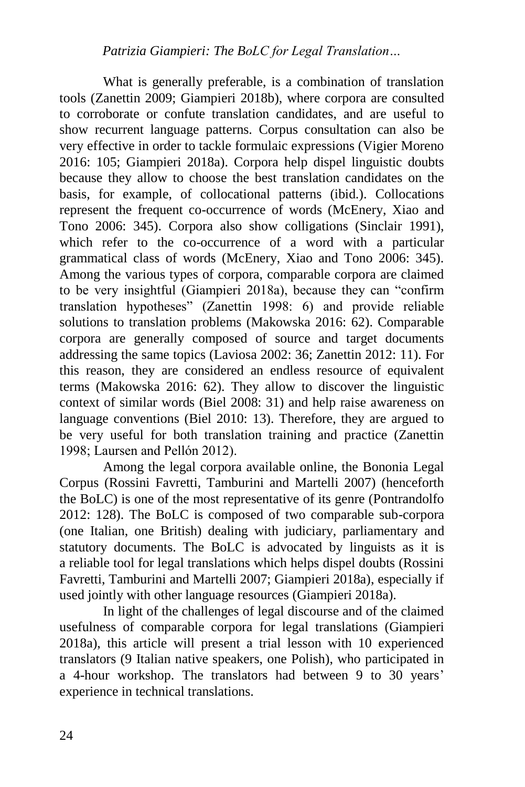What is generally preferable, is a combination of translation tools (Zanettin 2009; Giampieri 2018b), where corpora are consulted to corroborate or confute translation candidates, and are useful to show recurrent language patterns. Corpus consultation can also be very effective in order to tackle formulaic expressions (Vigier Moreno 2016: 105; Giampieri 2018a). Corpora help dispel linguistic doubts because they allow to choose the best translation candidates on the basis, for example, of collocational patterns (ibid.). Collocations represent the frequent co-occurrence of words (McEnery, Xiao and Tono 2006: 345). Corpora also show colligations (Sinclair 1991), which refer to the co-occurrence of a word with a particular grammatical class of words (McEnery, Xiao and Tono 2006: 345). Among the various types of corpora, comparable corpora are claimed to be very insightful (Giampieri 2018a), because they can "confirm translation hypotheses" (Zanettin 1998: 6) and provide reliable solutions to translation problems (Makowska 2016: 62). Comparable corpora are generally composed of source and target documents addressing the same topics (Laviosa 2002: 36; Zanettin 2012: 11). For this reason, they are considered an endless resource of equivalent terms (Makowska 2016: 62). They allow to discover the linguistic context of similar words (Biel 2008: 31) and help raise awareness on language conventions (Biel 2010: 13). Therefore, they are argued to be very useful for both translation training and practice (Zanettin 1998; Laursen and Pellón 2012).

Among the legal corpora available online, the Bononia Legal Corpus (Rossini Favretti, Tamburini and Martelli 2007) (henceforth the BoLC) is one of the most representative of its genre (Pontrandolfo 2012: 128). The BoLC is composed of two comparable sub-corpora (one Italian, one British) dealing with judiciary, parliamentary and statutory documents. The BoLC is advocated by linguists as it is a reliable tool for legal translations which helps dispel doubts (Rossini Favretti, Tamburini and Martelli 2007; Giampieri 2018a), especially if used jointly with other language resources (Giampieri 2018a).

In light of the challenges of legal discourse and of the claimed usefulness of comparable corpora for legal translations (Giampieri 2018a), this article will present a trial lesson with 10 experienced translators (9 Italian native speakers, one Polish), who participated in a 4-hour workshop. The translators had between 9 to 30 years' experience in technical translations.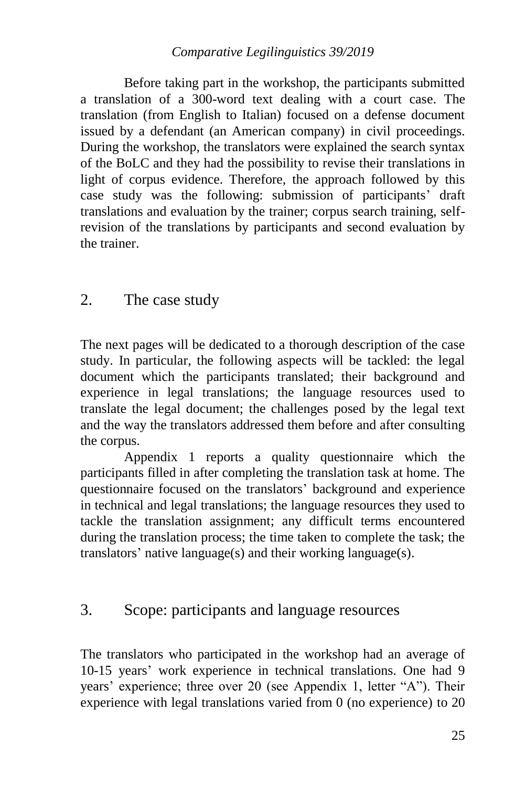#### *Comparative Legilinguistics 39/2019*

Before taking part in the workshop, the participants submitted a translation of a 300-word text dealing with a court case. The translation (from English to Italian) focused on a defense document issued by a defendant (an American company) in civil proceedings. During the workshop, the translators were explained the search syntax of the BoLC and they had the possibility to revise their translations in light of corpus evidence. Therefore, the approach followed by this case study was the following: submission of participants' draft translations and evaluation by the trainer; corpus search training, selfrevision of the translations by participants and second evaluation by the trainer.

### 2. The case study

The next pages will be dedicated to a thorough description of the case study. In particular, the following aspects will be tackled: the legal document which the participants translated; their background and experience in legal translations; the language resources used to translate the legal document; the challenges posed by the legal text and the way the translators addressed them before and after consulting the corpus.

Appendix 1 reports a quality questionnaire which the participants filled in after completing the translation task at home. The questionnaire focused on the translators' background and experience in technical and legal translations; the language resources they used to tackle the translation assignment; any difficult terms encountered during the translation process; the time taken to complete the task; the translators' native language(s) and their working language(s).

### 3. Scope: participants and language resources

The translators who participated in the workshop had an average of 10-15 years' work experience in technical translations. One had 9 years' experience; three over 20 (see Appendix 1, letter "A"). Their experience with legal translations varied from 0 (no experience) to 20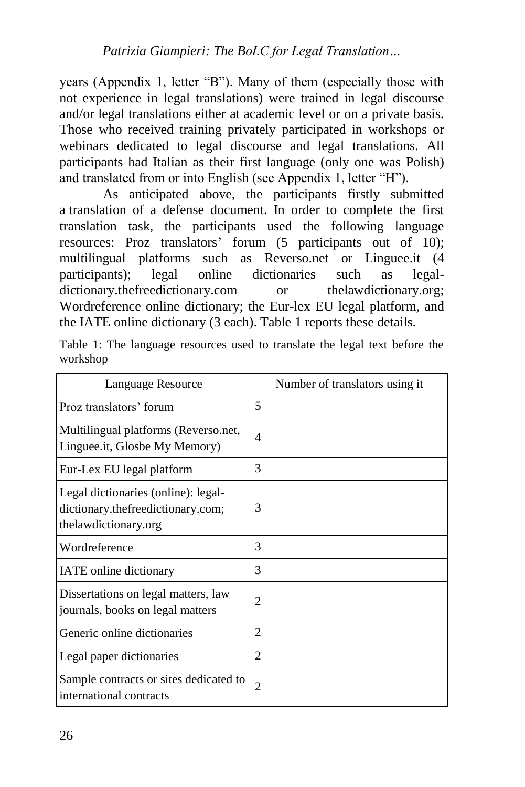years (Appendix 1, letter "B"). Many of them (especially those with not experience in legal translations) were trained in legal discourse and/or legal translations either at academic level or on a private basis. Those who received training privately participated in workshops or webinars dedicated to legal discourse and legal translations. All participants had Italian as their first language (only one was Polish) and translated from or into English (see Appendix 1, letter "H").

As anticipated above, the participants firstly submitted a translation of a defense document. In order to complete the first translation task, the participants used the following language resources: Proz translators' forum (5 participants out of 10); multilingual platforms such as Reverso.net or Linguee.it (4 participants); legal online dictionaries such as legaldictionary.thefreedictionary.com or thelawdictionary.org; Wordreference online dictionary; the Eur-lex EU legal platform, and the IATE online dictionary (3 each). Table 1 reports these details.

|          |  | Table 1: The language resources used to translate the legal text before the |  |  |  |  |
|----------|--|-----------------------------------------------------------------------------|--|--|--|--|
| workshop |  |                                                                             |  |  |  |  |

| Language Resource                                                                                | Number of translators using it |
|--------------------------------------------------------------------------------------------------|--------------------------------|
| Proz translators' forum                                                                          | 5                              |
| Multilingual platforms (Reverso.net,<br>Linguee.it, Glosbe My Memory)                            | $\overline{4}$                 |
| Eur-Lex EU legal platform                                                                        | 3                              |
| Legal dictionaries (online): legal-<br>dictionary.thefreedictionary.com;<br>thelawdictionary.org | 3                              |
| Wordreference                                                                                    | 3                              |
| IATE online dictionary                                                                           | 3                              |
| Dissertations on legal matters, law<br>journals, books on legal matters                          | $\overline{2}$                 |
| Generic online dictionaries                                                                      | $\overline{2}$                 |
| Legal paper dictionaries                                                                         | $\overline{2}$                 |
| Sample contracts or sites dedicated to<br>international contracts                                | $\overline{2}$                 |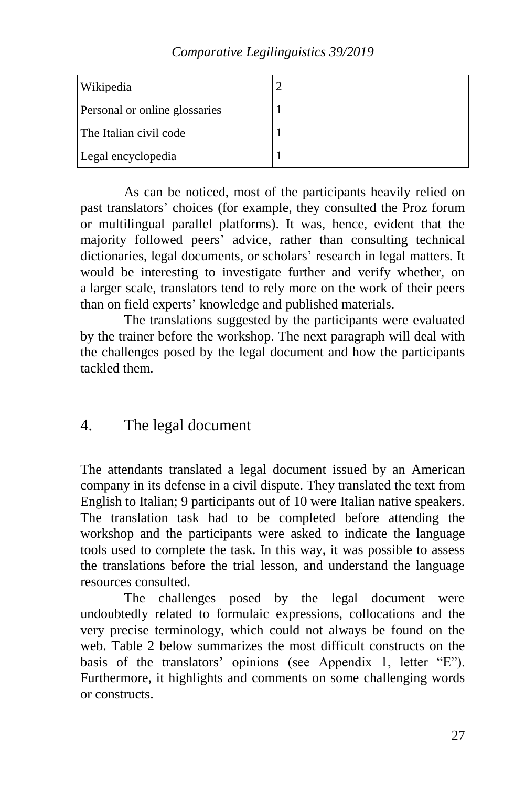| Comparative Legilinguistics 39/2019 |  |  |  |
|-------------------------------------|--|--|--|
|-------------------------------------|--|--|--|

| Wikipedia                     |  |
|-------------------------------|--|
| Personal or online glossaries |  |
| The Italian civil code        |  |
| Legal encyclopedia            |  |

As can be noticed, most of the participants heavily relied on past translators' choices (for example, they consulted the Proz forum or multilingual parallel platforms). It was, hence, evident that the majority followed peers' advice, rather than consulting technical dictionaries, legal documents, or scholars' research in legal matters. It would be interesting to investigate further and verify whether, on a larger scale, translators tend to rely more on the work of their peers than on field experts' knowledge and published materials.

The translations suggested by the participants were evaluated by the trainer before the workshop. The next paragraph will deal with the challenges posed by the legal document and how the participants tackled them.

## 4. The legal document

The attendants translated a legal document issued by an American company in its defense in a civil dispute. They translated the text from English to Italian; 9 participants out of 10 were Italian native speakers. The translation task had to be completed before attending the workshop and the participants were asked to indicate the language tools used to complete the task. In this way, it was possible to assess the translations before the trial lesson, and understand the language resources consulted.

The challenges posed by the legal document were undoubtedly related to formulaic expressions, collocations and the very precise terminology, which could not always be found on the web. Table 2 below summarizes the most difficult constructs on the basis of the translators' opinions (see Appendix 1, letter "E"). Furthermore, it highlights and comments on some challenging words or constructs.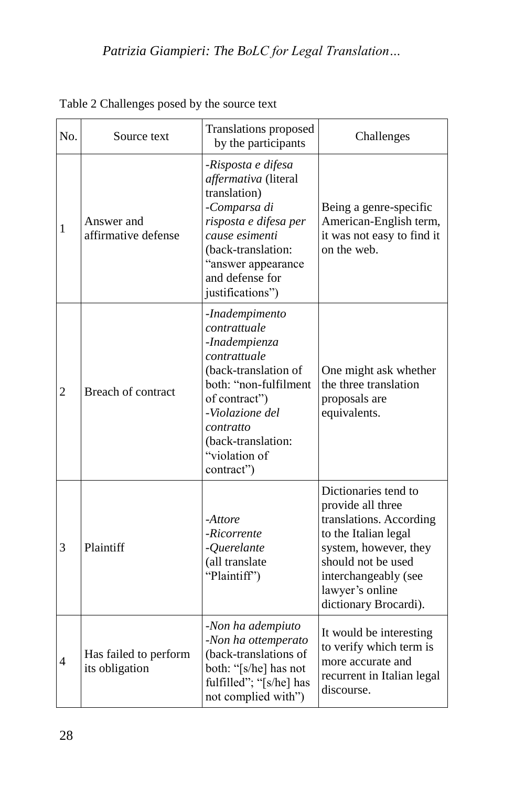| No.            | Source text                             | <b>Translations proposed</b><br>by the participants                                                                                                                                                                    | Challenges                                                                                                                                                                                                      |
|----------------|-----------------------------------------|------------------------------------------------------------------------------------------------------------------------------------------------------------------------------------------------------------------------|-----------------------------------------------------------------------------------------------------------------------------------------------------------------------------------------------------------------|
| $\mathbf{1}$   | Answer and<br>affirmative defense       | -Risposta e difesa<br>affermativa (literal<br>translation)<br>-Comparsa di<br>risposta e difesa per<br>cause esimenti<br>(back-translation:<br>"answer appearance<br>and defense for<br>justifications")               | Being a genre-specific<br>American-English term,<br>it was not easy to find it<br>on the web.                                                                                                                   |
| $\overline{2}$ | Breach of contract                      | -Inadempimento<br>contrattuale<br>-Inadempienza<br>contrattuale<br>(back-translation of<br>both: "non-fulfilment<br>of contract")<br>-Violazione del<br>contratto<br>(back-translation:<br>"violation of<br>contract") | One might ask whether<br>the three translation<br>proposals are<br>equivalents.                                                                                                                                 |
| 3              | Plaintiff                               | -Attore<br>-Ricorrente<br>-Querelante<br>(all translate<br>"Plaintiff")                                                                                                                                                | Dictionaries tend to<br>provide all three<br>translations. According<br>to the Italian legal<br>system, however, they<br>should not be used<br>interchangeably (see<br>lawyer's online<br>dictionary Brocardi). |
| 4              | Has failed to perform<br>its obligation | -Non ha adempiuto<br>-Non ha ottemperato<br>(back-translations of<br>both: "[s/he] has not<br>fulfilled"; "[s/he] has<br>not complied with")                                                                           | It would be interesting<br>to verify which term is<br>more accurate and<br>recurrent in Italian legal<br>discourse.                                                                                             |

Table 2 Challenges posed by the source text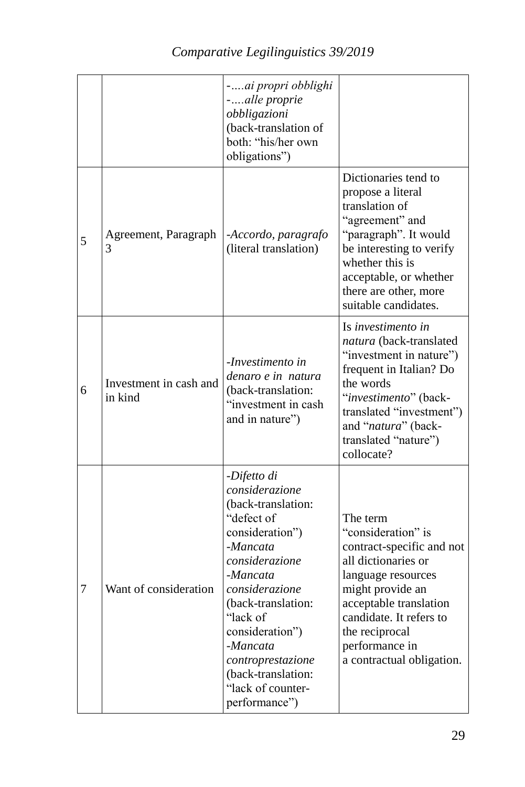|   |                                   | -ai propri obblighi<br>-alle proprie<br>obbligazioni<br>(back-translation of<br>both: "his/her own<br>obligations")                                                                                                                                                                                |                                                                                                                                                                                                                                                    |
|---|-----------------------------------|----------------------------------------------------------------------------------------------------------------------------------------------------------------------------------------------------------------------------------------------------------------------------------------------------|----------------------------------------------------------------------------------------------------------------------------------------------------------------------------------------------------------------------------------------------------|
| 5 | Agreement, Paragraph<br>3         | -Accordo, paragrafo<br>(literal translation)                                                                                                                                                                                                                                                       | Dictionaries tend to<br>propose a literal<br>translation of<br>"agreement" and<br>"paragraph". It would<br>be interesting to verify<br>whether this is<br>acceptable, or whether<br>there are other, more<br>suitable candidates.                  |
| 6 | Investment in cash and<br>in kind | -Investimento in<br>denaro e in natura<br>(back-translation:<br>"investment in cash<br>and in nature")                                                                                                                                                                                             | Is investimento in<br>natura (back-translated<br>"investment in nature")<br>frequent in Italian? Do<br>the words<br>"investimento" (back-<br>translated "investment")<br>and "natura" (back-<br>translated "nature")<br>collocate?                 |
| 7 | Want of consideration             | -Difetto di<br>considerazione<br>(back-translation:<br>"defect of<br>consideration")<br>-Mancata<br>considerazione<br>-Mancata<br>considerazione<br>(back-translation:<br>"lack of<br>consideration")<br>-Mancata<br>controprestazione<br>(back-translation:<br>"lack of counter-<br>performance") | The term<br>"consideration" is<br>contract-specific and not<br>all dictionaries or<br>language resources<br>might provide an<br>acceptable translation<br>candidate. It refers to<br>the reciprocal<br>performance in<br>a contractual obligation. |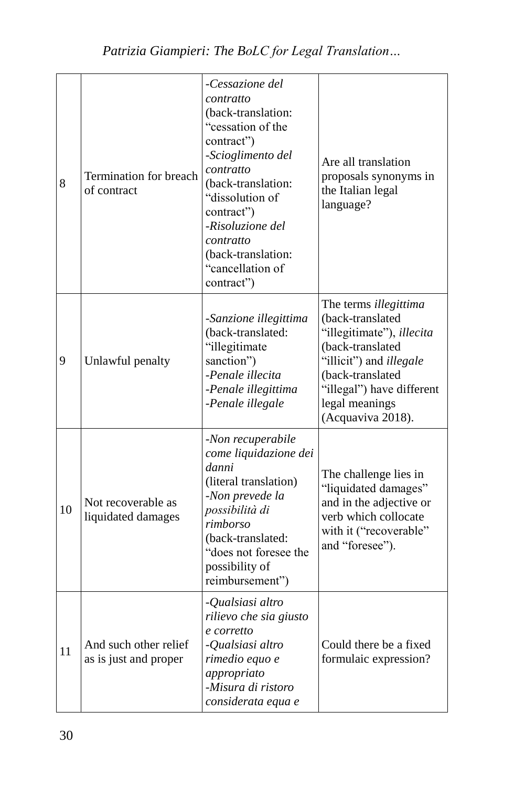| 8  | Termination for breach<br>of contract          | -Cessazione del<br>contratto<br>(back-translation:<br>"cessation of the<br>contract")<br>-Scioglimento del<br>contratto<br>(back-translation:<br>"dissolution of<br>contract")<br>-Risoluzione del<br>contratto<br>(back-translation:<br>"cancellation of<br>contract") | Are all translation<br>proposals synonyms in<br>the Italian legal<br>language?                                                                                                                                       |
|----|------------------------------------------------|-------------------------------------------------------------------------------------------------------------------------------------------------------------------------------------------------------------------------------------------------------------------------|----------------------------------------------------------------------------------------------------------------------------------------------------------------------------------------------------------------------|
| 9  | Unlawful penalty                               | -Sanzione illegittima<br>(back-translated:<br>"illegitimate<br>sanction")<br>-Penale illecita<br>-Penale illegittima<br>-Penale illegale                                                                                                                                | The terms illegittima<br>(back-translated<br>"illegitimate"), illecita<br>(back-translated<br>"illicit") and <i>illegale</i><br>(back-translated<br>"illegal") have different<br>legal meanings<br>(Acquaviva 2018). |
| 10 | Not recoverable as<br>liquidated damages       | -Non recuperabile<br>come liquidazione dei<br>danni<br>(literal translation)<br>-Non prevede la<br>possibilità di<br>rimborso<br>(back-translated:<br>"does not foresee the<br>possibility of<br>reimbursement")                                                        | The challenge lies in<br>"liquidated damages"<br>and in the adjective or<br>verb which collocate<br>with it ("recoverable"<br>and "foresee").                                                                        |
| 11 | And such other relief<br>as is just and proper | -Qualsiasi altro<br>rilievo che sia giusto<br>e corretto<br>- <i>Oualsiasi altro</i><br>rimedio equo e<br>appropriato<br>-Misura di ristoro<br>considerata equa e                                                                                                       | Could there be a fixed<br>formulaic expression?                                                                                                                                                                      |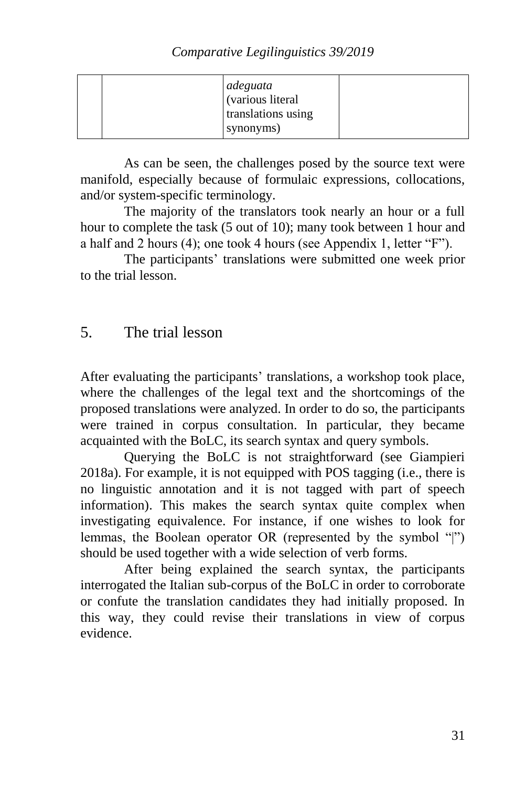|  | adeguata<br>(various literal<br>translations using |  |
|--|----------------------------------------------------|--|
|  | synonyms)                                          |  |

As can be seen, the challenges posed by the source text were manifold, especially because of formulaic expressions, collocations, and/or system-specific terminology.

The majority of the translators took nearly an hour or a full hour to complete the task (5 out of 10); many took between 1 hour and a half and 2 hours (4); one took 4 hours (see Appendix 1, letter "F").

The participants' translations were submitted one week prior to the trial lesson.

# 5. The trial lesson

After evaluating the participants' translations, a workshop took place, where the challenges of the legal text and the shortcomings of the proposed translations were analyzed. In order to do so, the participants were trained in corpus consultation. In particular, they became acquainted with the BoLC, its search syntax and query symbols.

Querying the BoLC is not straightforward (see Giampieri 2018a). For example, it is not equipped with POS tagging (i.e., there is no linguistic annotation and it is not tagged with part of speech information). This makes the search syntax quite complex when investigating equivalence. For instance, if one wishes to look for lemmas, the Boolean operator OR (represented by the symbol "|") should be used together with a wide selection of verb forms.

After being explained the search syntax, the participants interrogated the Italian sub-corpus of the BoLC in order to corroborate or confute the translation candidates they had initially proposed. In this way, they could revise their translations in view of corpus evidence.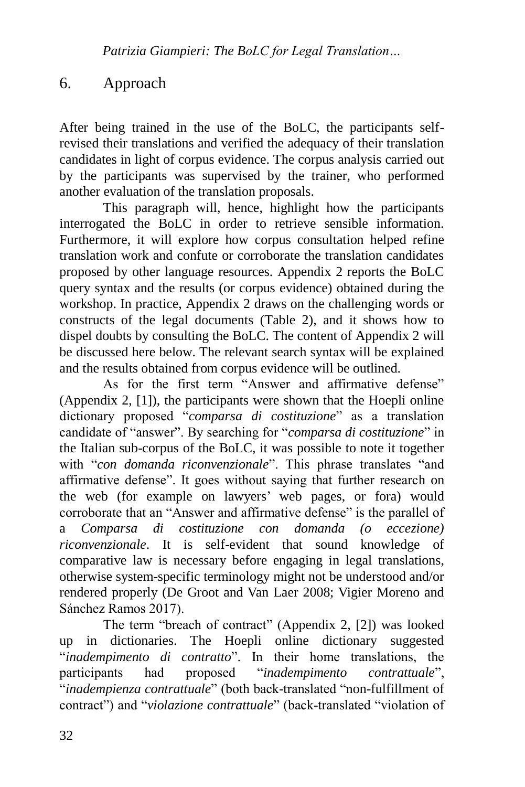## 6. Approach

After being trained in the use of the BoLC, the participants selfrevised their translations and verified the adequacy of their translation candidates in light of corpus evidence. The corpus analysis carried out by the participants was supervised by the trainer, who performed another evaluation of the translation proposals.

This paragraph will, hence, highlight how the participants interrogated the BoLC in order to retrieve sensible information. Furthermore, it will explore how corpus consultation helped refine translation work and confute or corroborate the translation candidates proposed by other language resources. Appendix 2 reports the BoLC query syntax and the results (or corpus evidence) obtained during the workshop. In practice, Appendix 2 draws on the challenging words or constructs of the legal documents (Table 2), and it shows how to dispel doubts by consulting the BoLC. The content of Appendix 2 will be discussed here below. The relevant search syntax will be explained and the results obtained from corpus evidence will be outlined.

As for the first term "Answer and affirmative defense" (Appendix 2, [1]), the participants were shown that the Hoepli online dictionary proposed "*comparsa di costituzione*" as a translation candidate of "answer". By searching for "*comparsa di costituzione*" in the Italian sub-corpus of the BoLC, it was possible to note it together with "*con domanda riconvenzionale*". This phrase translates "and affirmative defense". It goes without saying that further research on the web (for example on lawyers' web pages, or fora) would corroborate that an "Answer and affirmative defense" is the parallel of a *Comparsa di costituzione con domanda (o eccezione) riconvenzionale*. It is self-evident that sound knowledge of comparative law is necessary before engaging in legal translations, otherwise system-specific terminology might not be understood and/or rendered properly (De Groot and Van Laer 2008; Vigier Moreno and Sánchez Ramos 2017).

The term "breach of contract" (Appendix 2, [2]) was looked up in dictionaries. The Hoepli online dictionary suggested "*inadempimento di contratto*". In their home translations, the participants had proposed "*inadempimento contrattuale*", "*inadempienza contrattuale*" (both back-translated "non-fulfillment of contract") and "*violazione contrattuale*" (back-translated "violation of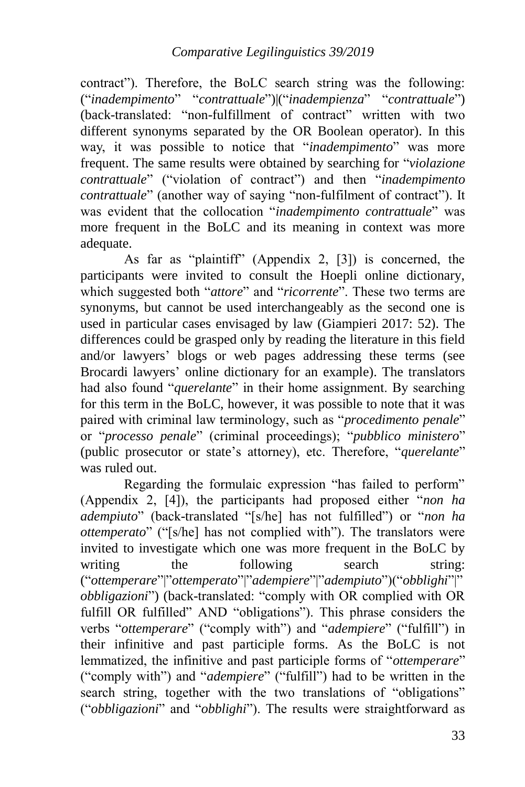contract"). Therefore, the BoLC search string was the following: ("*inadempimento*" "*contrattuale*")|("*inadempienza*" "*contrattuale*") (back-translated: "non-fulfillment of contract" written with two different synonyms separated by the OR Boolean operator). In this way, it was possible to notice that "*inadempimento*" was more frequent. The same results were obtained by searching for "*violazione contrattuale*" ("violation of contract") and then "*inadempimento contrattuale*" (another way of saying "non-fulfilment of contract"). It was evident that the collocation "*inadempimento contrattuale*" was more frequent in the BoLC and its meaning in context was more adequate.

As far as "plaintiff" (Appendix 2, [3]) is concerned, the participants were invited to consult the Hoepli online dictionary, which suggested both "*attore*" and "*ricorrente*". These two terms are synonyms, but cannot be used interchangeably as the second one is used in particular cases envisaged by law (Giampieri 2017: 52). The differences could be grasped only by reading the literature in this field and/or lawyers' blogs or web pages addressing these terms (see Brocardi lawyers' online dictionary for an example). The translators had also found "*querelante*" in their home assignment. By searching for this term in the BoLC, however, it was possible to note that it was paired with criminal law terminology, such as "*procedimento penale*" or "*processo penale*" (criminal proceedings); "*pubblico ministero*" (public prosecutor or state's attorney), etc. Therefore, "*querelante*" was ruled out.

Regarding the formulaic expression "has failed to perform" (Appendix 2, [4]), the participants had proposed either "*non ha adempiuto*" (back-translated "[s/he] has not fulfilled") or "*non ha ottemperato*" ("[s/he] has not complied with"). The translators were invited to investigate which one was more frequent in the BoLC by writing the following search string: ("*ottemperare*"|"*ottemperato*"|"*adempiere*"|"*adempiuto*")("*obblighi*"|" *obbligazioni*") (back-translated: "comply with OR complied with OR fulfill OR fulfilled" AND "obligations"). This phrase considers the verbs "*ottemperare*" ("comply with") and "*adempiere*" ("fulfill") in their infinitive and past participle forms. As the BoLC is not lemmatized, the infinitive and past participle forms of "*ottemperare*" ("comply with") and "*adempiere*" ("fulfill") had to be written in the search string, together with the two translations of "obligations" ("*obbligazioni*" and "*obblighi*"). The results were straightforward as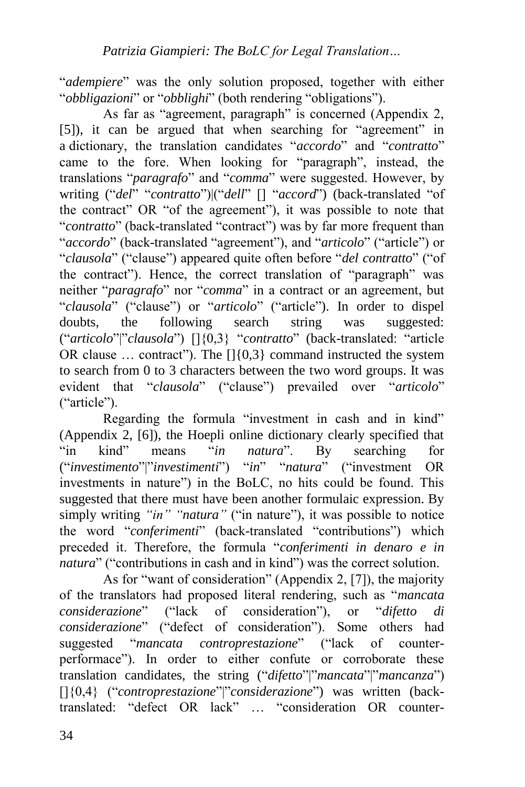"*adempiere*" was the only solution proposed, together with either "*obbligazioni*" or "*obblighi*" (both rendering "obligations").

As far as "agreement, paragraph" is concerned (Appendix 2, [5]), it can be argued that when searching for "agreement" in a dictionary, the translation candidates "*accordo*" and "*contratto*" came to the fore. When looking for "paragraph", instead, the translations "*paragrafo*" and "*comma*" were suggested. However, by writing ("*del*" "*contratto*")|("*dell*" [] "*accord*") (back-translated "of the contract" OR "of the agreement"), it was possible to note that "*contratto*" (back-translated "contract") was by far more frequent than "*accordo*" (back-translated "agreement"), and "*articolo*" ("article") or "*clausola*" ("clause") appeared quite often before "*del contratto*" ("of the contract"). Hence, the correct translation of "paragraph" was neither "*paragrafo*" nor "*comma*" in a contract or an agreement, but "*clausola*" ("clause") or "*articolo*" ("article"). In order to dispel doubts, the following search string was suggested: ("*articolo*"|"*clausola*") []{0,3} "*contratto*" (back-translated: "article OR clause  $\ldots$  contract"). The  $[1]$ {0,3} command instructed the system to search from 0 to 3 characters between the two word groups. It was evident that "*clausola*" ("clause") prevailed over "*articolo*" ("article").

Regarding the formula "investment in cash and in kind" (Appendix 2, [6]), the Hoepli online dictionary clearly specified that "in kind" means "*in natura*". By searching for ("*investimento*"|"*investimenti*") "*in*" "*natura*" ("investment OR investments in nature") in the BoLC, no hits could be found. This suggested that there must have been another formulaic expression. By simply writing *"in" "natura"* ("in nature"), it was possible to notice the word "*conferimenti*" (back-translated "contributions") which preceded it. Therefore, the formula "*conferimenti in denaro e in natura*" ("contributions in cash and in kind") was the correct solution.

As for "want of consideration" (Appendix 2, [7]), the majority of the translators had proposed literal rendering, such as "*mancata considerazione*" ("lack of consideration"), or "*difetto di considerazione*" ("defect of consideration"). Some others had suggested "*mancata controprestazione*" ("lack of counterperformace"). In order to either confute or corroborate these translation candidates, the string ("*difetto*"|"*mancata*"|"*mancanza*") []{0,4} ("*controprestazione*"|"*considerazione*") was written (backtranslated: "defect OR lack" … "consideration OR counter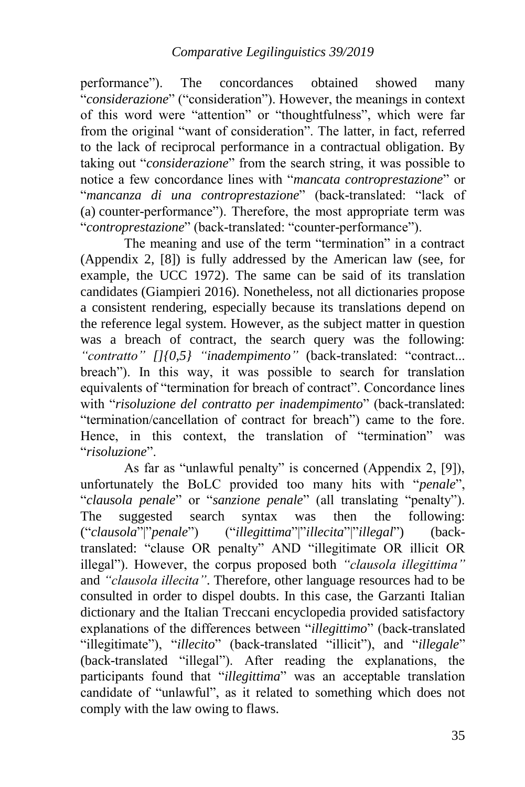performance"). The concordances obtained showed many "*considerazione*" ("consideration"). However, the meanings in context of this word were "attention" or "thoughtfulness", which were far from the original "want of consideration". The latter, in fact, referred to the lack of reciprocal performance in a contractual obligation. By taking out "*considerazione*" from the search string, it was possible to notice a few concordance lines with "*mancata controprestazione*" or "*mancanza di una controprestazione*" (back-translated: "lack of (a) counter-performance"). Therefore, the most appropriate term was "*controprestazione*" (back-translated: "counter-performance").

The meaning and use of the term "termination" in a contract (Appendix 2, [8]) is fully addressed by the American law (see, for example, the UCC 1972). The same can be said of its translation candidates (Giampieri 2016). Nonetheless, not all dictionaries propose a consistent rendering, especially because its translations depend on the reference legal system. However, as the subject matter in question was a breach of contract, the search query was the following: *"contratto" []{0,5} "inadempimento"* (back-translated: "contract... breach"). In this way, it was possible to search for translation equivalents of "termination for breach of contract". Concordance lines with "*risoluzione del contratto per inadempimento*" (back-translated: "termination/cancellation of contract for breach") came to the fore. Hence, in this context, the translation of "termination" was "*risoluzione*".

As far as "unlawful penalty" is concerned (Appendix 2, [9]), unfortunately the BoLC provided too many hits with "*penale*", "*clausola penale*" or "*sanzione penale*" (all translating "penalty"). The suggested search syntax was then the following: ("*clausola*"|"*penale*") ("*illegittima*"|"*illecita*"|"*illegal*") (backtranslated: "clause OR penalty" AND "illegitimate OR illicit OR illegal"). However, the corpus proposed both *"clausola illegittima"*  and *"clausola illecita"*. Therefore, other language resources had to be consulted in order to dispel doubts. In this case, the Garzanti Italian dictionary and the Italian Treccani encyclopedia provided satisfactory explanations of the differences between "*illegittimo*" (back-translated "illegitimate"), "*illecito*" (back-translated "illicit"), and "*illegale*" (back-translated "illegal"). After reading the explanations, the participants found that "*illegittima*" was an acceptable translation candidate of "unlawful", as it related to something which does not comply with the law owing to flaws.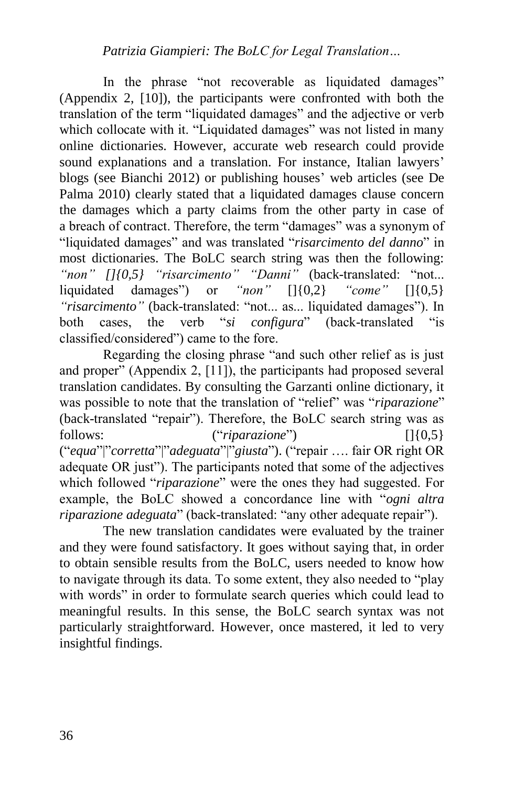In the phrase "not recoverable as liquidated damages" (Appendix 2, [10]), the participants were confronted with both the translation of the term "liquidated damages" and the adjective or verb which collocate with it. "Liquidated damages" was not listed in many online dictionaries. However, accurate web research could provide sound explanations and a translation. For instance, Italian lawyers' blogs (see Bianchi 2012) or publishing houses' web articles (see De Palma 2010) clearly stated that a liquidated damages clause concern the damages which a party claims from the other party in case of a breach of contract. Therefore, the term "damages" was a synonym of "liquidated damages" and was translated "*risarcimento del danno*" in most dictionaries. The BoLC search string was then the following: *"non" []{0,5} "risarcimento" "Danni"* (back-translated: "not... liquidated damages") or *"non"* []{0,2} *"come"* []{0,5} *"risarcimento"* (back-translated: "not... as... liquidated damages"). In both cases, the verb "*si configura*" (back-translated "is classified/considered") came to the fore.

Regarding the closing phrase "and such other relief as is just and proper" (Appendix 2, [11]), the participants had proposed several translation candidates. By consulting the Garzanti online dictionary, it was possible to note that the translation of "relief" was "*riparazione*" (back-translated "repair"). Therefore, the BoLC search string was as follows: ("*riparazione*") []{0,5} ("*equa*"|"*corretta*"|"*adeguata*"|"*giusta*"). ("repair …. fair OR right OR adequate OR just"). The participants noted that some of the adjectives which followed "*riparazione*" were the ones they had suggested. For example, the BoLC showed a concordance line with "*ogni altra riparazione adeguata*" (back-translated: "any other adequate repair").

The new translation candidates were evaluated by the trainer and they were found satisfactory. It goes without saying that, in order to obtain sensible results from the BoLC, users needed to know how to navigate through its data. To some extent, they also needed to "play with words" in order to formulate search queries which could lead to meaningful results. In this sense, the BoLC search syntax was not particularly straightforward. However, once mastered, it led to very insightful findings.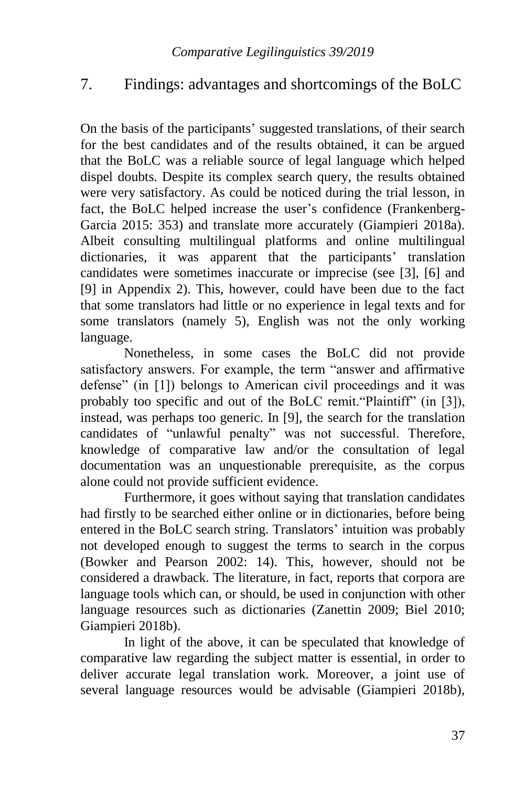# 7. Findings: advantages and shortcomings of the BoLC

On the basis of the participants' suggested translations, of their search for the best candidates and of the results obtained, it can be argued that the BoLC was a reliable source of legal language which helped dispel doubts. Despite its complex search query, the results obtained were very satisfactory. As could be noticed during the trial lesson, in fact, the BoLC helped increase the user's confidence (Frankenberg-Garcia 2015: 353) and translate more accurately (Giampieri 2018a). Albeit consulting multilingual platforms and online multilingual dictionaries, it was apparent that the participants' translation candidates were sometimes inaccurate or imprecise (see [3], [6] and [9] in Appendix 2). This, however, could have been due to the fact that some translators had little or no experience in legal texts and for some translators (namely 5), English was not the only working language.

Nonetheless, in some cases the BoLC did not provide satisfactory answers. For example, the term "answer and affirmative defense" (in [1]) belongs to American civil proceedings and it was probably too specific and out of the BoLC remit."Plaintiff" (in [3]), instead, was perhaps too generic. In [9], the search for the translation candidates of "unlawful penalty" was not successful. Therefore, knowledge of comparative law and/or the consultation of legal documentation was an unquestionable prerequisite, as the corpus alone could not provide sufficient evidence.

Furthermore, it goes without saying that translation candidates had firstly to be searched either online or in dictionaries, before being entered in the BoLC search string. Translators' intuition was probably not developed enough to suggest the terms to search in the corpus (Bowker and Pearson 2002: 14). This, however, should not be considered a drawback. The literature, in fact, reports that corpora are language tools which can, or should, be used in conjunction with other language resources such as dictionaries (Zanettin 2009; Biel 2010; Giampieri 2018b).

In light of the above, it can be speculated that knowledge of comparative law regarding the subject matter is essential, in order to deliver accurate legal translation work. Moreover, a joint use of several language resources would be advisable (Giampieri 2018b),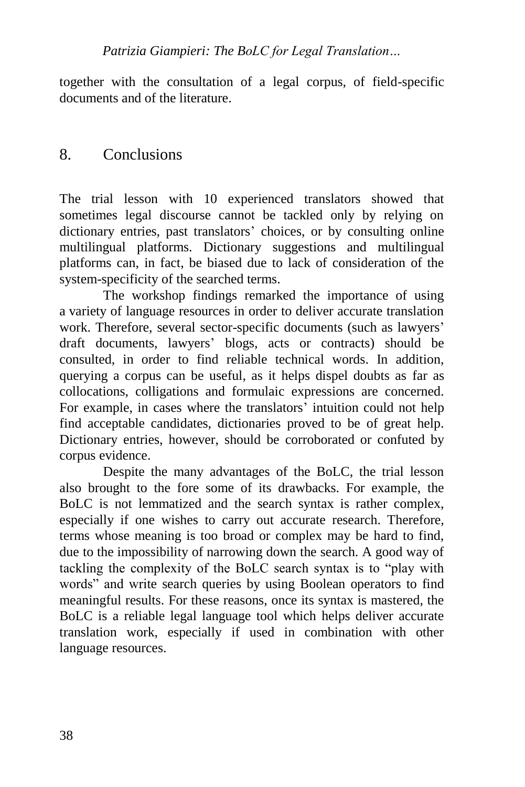together with the consultation of a legal corpus, of field-specific documents and of the literature.

### 8. Conclusions

The trial lesson with 10 experienced translators showed that sometimes legal discourse cannot be tackled only by relying on dictionary entries, past translators' choices, or by consulting online multilingual platforms. Dictionary suggestions and multilingual platforms can, in fact, be biased due to lack of consideration of the system-specificity of the searched terms.

The workshop findings remarked the importance of using a variety of language resources in order to deliver accurate translation work. Therefore, several sector-specific documents (such as lawyers' draft documents, lawyers' blogs, acts or contracts) should be consulted, in order to find reliable technical words. In addition, querying a corpus can be useful, as it helps dispel doubts as far as collocations, colligations and formulaic expressions are concerned. For example, in cases where the translators' intuition could not help find acceptable candidates, dictionaries proved to be of great help. Dictionary entries, however, should be corroborated or confuted by corpus evidence.

Despite the many advantages of the BoLC, the trial lesson also brought to the fore some of its drawbacks. For example, the BoLC is not lemmatized and the search syntax is rather complex, especially if one wishes to carry out accurate research. Therefore, terms whose meaning is too broad or complex may be hard to find, due to the impossibility of narrowing down the search. A good way of tackling the complexity of the BoLC search syntax is to "play with words" and write search queries by using Boolean operators to find meaningful results. For these reasons, once its syntax is mastered, the BoLC is a reliable legal language tool which helps deliver accurate translation work, especially if used in combination with other language resources.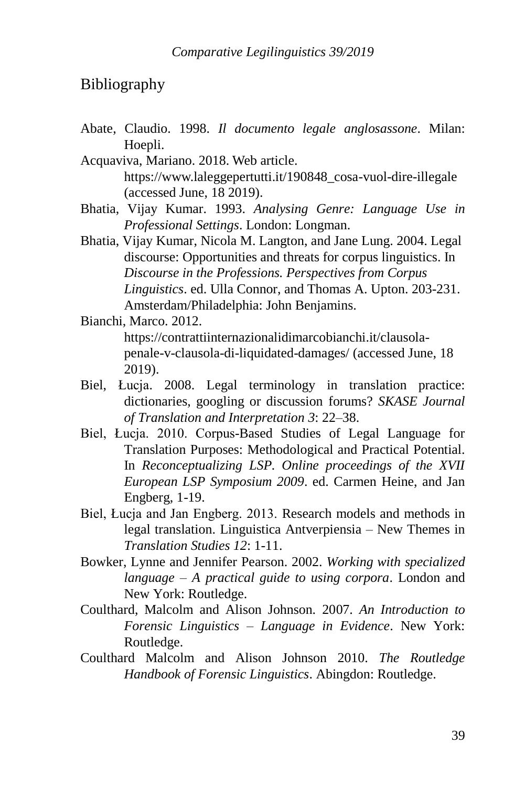### Bibliography

Abate, Claudio. 1998. *Il documento legale anglosassone*. Milan: Hoepli.

Acquaviva, Mariano. 2018. Web article. [https://www.laleggepertutti.it/190848\\_cosa-vuol-dire-illegale](https://www.laleggepertutti.it/190848_cosa-vuol-dire-illegale) (accessed June, 18 2019).

- Bhatia, Vijay Kumar. 1993. *Analysing Genre: Language Use in Professional Settings*. London: Longman.
- Bhatia, Vijay Kumar, Nicola M. Langton, and Jane Lung. 2004. Legal discourse: Opportunities and threats for corpus linguistics. In *Discourse in the Professions. Perspectives from Corpus Linguistics*. ed. Ulla Connor, and Thomas A. Upton. 203-231. Amsterdam/Philadelphia: John Benjamins.

Bianchi, Marco. 2012. [https://contrattiinternazionalidimarcobianchi.it/clausola](https://contrattiinternazionalidimarcobianchi.it/clausola-penale-v-clausola-di-liquidated-damages/)[penale-v-clausola-di-liquidated-damages/](https://contrattiinternazionalidimarcobianchi.it/clausola-penale-v-clausola-di-liquidated-damages/) (accessed June, 18 2019).

- Biel, Łucja. 2008. Legal terminology in translation practice: dictionaries, googling or discussion forums? *SKASE Journal of Translation and Interpretation 3*: 22–38.
- Biel, Łucja. 2010. Corpus-Based Studies of Legal Language for Translation Purposes: Methodological and Practical Potential. In *Reconceptualizing LSP. Online proceedings of the XVII European LSP Symposium 2009*. ed. Carmen Heine, and Jan Engberg, 1-19.
- Biel, Łucja and Jan Engberg. 2013. Research models and methods in legal translation. Linguistica Antverpiensia – New Themes in *Translation Studies 12*: 1-11.
- Bowker, Lynne and Jennifer Pearson. 2002. *Working with specialized language – A practical guide to using corpora*. London and New York: Routledge.
- Coulthard, Malcolm and Alison Johnson. 2007. *An Introduction to Forensic Linguistics – Language in Evidence*. New York: Routledge.
- Coulthard Malcolm and Alison Johnson 2010. *The Routledge Handbook of Forensic Linguistics*. Abingdon: Routledge.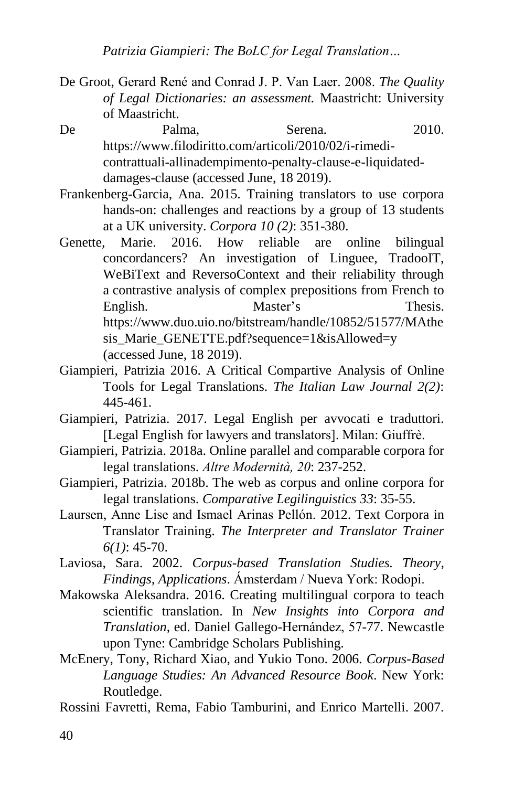- De Groot, Gerard René and Conrad J. P. Van Laer. 2008. *The Quality of Legal Dictionaries: an assessment.* Maastricht: University of Maastricht.
- De Palma, Serena. 2010. [https://www.filodiritto.com/articoli/2010/02/i-rimedi](https://www.filodiritto.com/articoli/2010/02/i-rimedi-contrattuali-allinadempimento-penalty-clause-e-liquidated-damages-clause)[contrattuali-allinadempimento-penalty-clause-e-liquidated](https://www.filodiritto.com/articoli/2010/02/i-rimedi-contrattuali-allinadempimento-penalty-clause-e-liquidated-damages-clause)[damages-clause](https://www.filodiritto.com/articoli/2010/02/i-rimedi-contrattuali-allinadempimento-penalty-clause-e-liquidated-damages-clause) (accessed June, 18 2019).
- Frankenberg-Garcia, Ana. 2015. Training translators to use corpora hands-on: challenges and reactions by a group of 13 students at a UK university. *Corpora 10 (2)*: 351-380.
- Genette, Marie. 2016. How reliable are online bilingual concordancers? An investigation of Linguee, TradooIT, WeBiText and ReversoContext and their reliability through a contrastive analysis of complex prepositions from French to English. Master's Thesis. [https://www.duo.uio.no/bitstream/handle/10852/51577/MAthe](https://www.duo.uio.no/bitstream/handle/10852/51577/MAthesis_Marie_GENETTE.pdf?sequence=1&isAllowed=y) [sis\\_Marie\\_GENETTE.pdf?sequence=1&isAllowed=y](https://www.duo.uio.no/bitstream/handle/10852/51577/MAthesis_Marie_GENETTE.pdf?sequence=1&isAllowed=y)  (accessed June, 18 2019).
- Giampieri, Patrizia 2016. A Critical Compartive Analysis of Online Tools for Legal Translations. *The Italian Law Journal 2(2)*: 445-461.
- Giampieri, Patrizia. 2017. Legal English per avvocati e traduttori. [Legal English for lawyers and translators]. Milan: Giuffrè.
- Giampieri, Patrizia. 2018a. Online parallel and comparable corpora for legal translations. *Altre Modernità, 20*: 237-252.
- Giampieri, Patrizia. 2018b. The web as corpus and online corpora for legal translations. *Comparative Legilinguistics 33*: 35-55.
- Laursen, Anne Lise and Ismael Arinas Pellón. 2012. Text Corpora in Translator Training. *The Interpreter and Translator Trainer 6(1)*: 45-70.
- Laviosa, Sara. 2002. *Corpus-based Translation Studies. Theory, Findings, Applications*. Ámsterdam / Nueva York: Rodopi.
- Makowska Aleksandra. 2016. Creating multilingual corpora to teach scientific translation. In *New Insights into Corpora and Translation*, ed. Daniel Gallego-Hernández, 57-77. Newcastle upon Tyne: Cambridge Scholars Publishing.
- McEnery, Tony, Richard Xiao, and Yukio Tono. 2006. *Corpus-Based Language Studies: An Advanced Resource Book*. New York: Routledge.
- Rossini Favretti, Rema, Fabio Tamburini, and Enrico Martelli. 2007.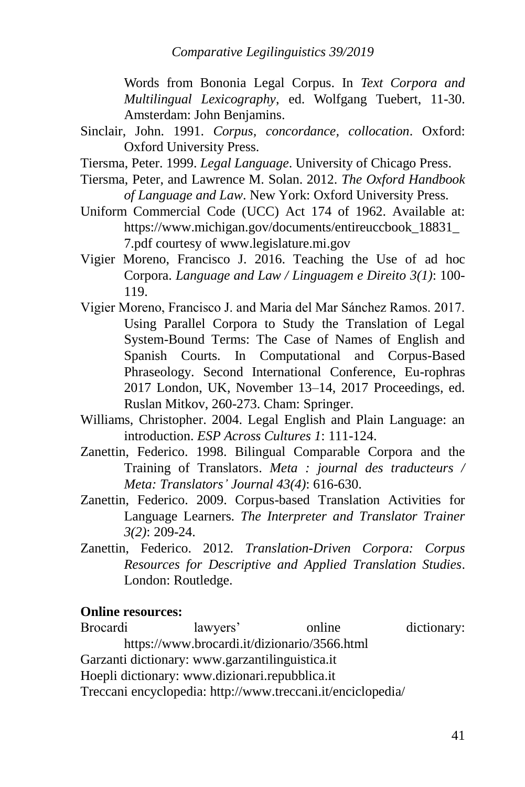*Comparative Legilinguistics 39/2019*

Words from Bononia Legal Corpus. In *Text Corpora and Multilingual Lexicography*, ed. Wolfgang Tuebert, 11-30. Amsterdam: John Benjamins.

- Sinclair, John. 1991. *Corpus, concordance, collocation*. Oxford: Oxford University Press.
- Tiersma, Peter. 1999. *Legal Language*. University of Chicago Press.
- Tiersma, Peter, and Lawrence M. Solan. 2012. *The Oxford Handbook of Language and Law*. New York: Oxford University Press.
- Uniform Commercial Code (UCC) Act 174 of 1962. Available at: [https://www.michigan.gov/documents/entireuccbook\\_18831\\_](https://www.michigan.gov/documents/entireuccbook_18831_7.pdf) [7.pdf](https://www.michigan.gov/documents/entireuccbook_18831_7.pdf) courtesy of [www.legislature.mi.gov](http://www.legislature.mi.gov/)
- Vigier Moreno, Francisco J. 2016. Teaching the Use of ad hoc Corpora. *Language and Law / Linguagem e Direito 3(1)*: 100- 119.
- Vigier Moreno, Francisco J. and Maria del Mar Sánchez Ramos. 2017. Using Parallel Corpora to Study the Translation of Legal System-Bound Terms: The Case of Names of English and Spanish Courts. In Computational and Corpus-Based Phraseology. Second International Conference, Eu-rophras 2017 London, UK, November 13–14, 2017 Proceedings, ed. Ruslan Mitkov, 260-273. Cham: Springer.
- Williams, Christopher. 2004. Legal English and Plain Language: an introduction. *ESP Across Cultures 1*: 111-124.
- Zanettin, Federico. 1998. Bilingual Comparable Corpora and the Training of Translators. *Meta : journal des traducteurs / Meta: Translators' Journal 43(4)*: 616-630.
- Zanettin, Federico. 2009. Corpus-based Translation Activities for Language Learners. *The Interpreter and Translator Trainer 3(2)*: 209-24.
- Zanettin, Federico. 2012. *Translation-Driven Corpora: Corpus Resources for Descriptive and Applied Translation Studies*. London: Routledge.

### **Online resources:**

Brocardi lawyers' online dictionary: <https://www.brocardi.it/dizionario/3566.html> Garzanti dictionary: [www.garzantilinguistica.it](http://www.garzantilinguistica.it/) Hoepli dictionary: [www.dizionari.repubblica.it](http://www.dizionari.repubblica.it/) Treccani encyclopedia:<http://www.treccani.it/enciclopedia/>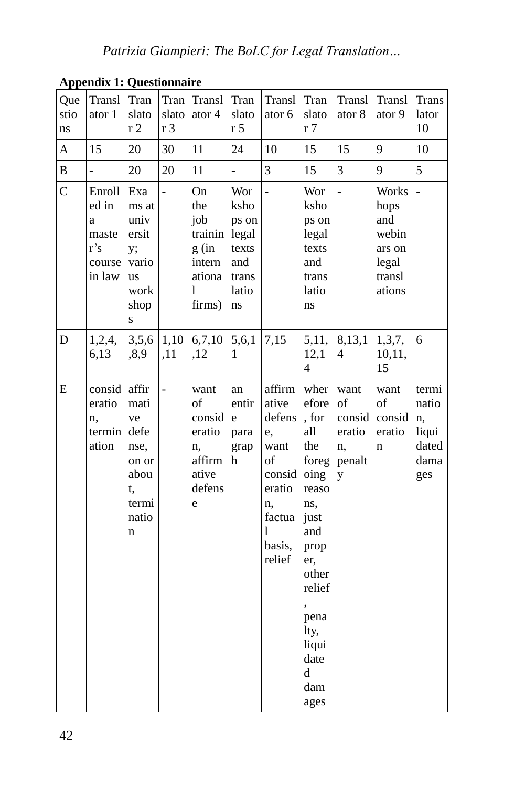| $-1.1$<br>Que<br>stio<br>ns | Transl<br>ator 1                                         | Tran<br>slato<br>r <sub>2</sub>                                                             | Tran<br>slato<br>r 3 | Transl<br>ator 4                                                        | Tran<br>slato<br>r <sub>5</sub>                                       | Transl<br>ator 6                                                                                           | Tran<br>slato<br>r 7                                                                                                                                                        | Transl<br>ator 8                                    | Transl<br>ator 9                                                     | <b>Trans</b><br>lator<br>10                           |
|-----------------------------|----------------------------------------------------------|---------------------------------------------------------------------------------------------|----------------------|-------------------------------------------------------------------------|-----------------------------------------------------------------------|------------------------------------------------------------------------------------------------------------|-----------------------------------------------------------------------------------------------------------------------------------------------------------------------------|-----------------------------------------------------|----------------------------------------------------------------------|-------------------------------------------------------|
| $\mathbf A$                 | 15                                                       | 20                                                                                          | 30                   | 11                                                                      | 24                                                                    | 10                                                                                                         | 15                                                                                                                                                                          | 15                                                  | 9                                                                    | 10                                                    |
| B                           | $\overline{a}$                                           | 20                                                                                          | 20                   | 11                                                                      | ÷,                                                                    | 3                                                                                                          | 15                                                                                                                                                                          | 3                                                   | 9                                                                    | 5                                                     |
| $\mathcal{C}$               | Enroll<br>ed in<br>a<br>maste<br>r's<br>course<br>in law | Exa<br>ms at<br>univ<br>ersit<br>y;<br>vario<br><b>us</b><br>work<br>shop<br>S              | $\overline{a}$       | On<br>the<br>job<br>trainin<br>g (in<br>intern<br>ationa<br>1<br>firms) | Wor<br>ksho<br>ps on<br>legal<br>texts<br>and<br>trans<br>latio<br>ns | $\overline{a}$                                                                                             | Wor<br>ksho<br>ps on<br>legal<br>texts<br>and<br>trans<br>latio<br>ns                                                                                                       | $\overline{a}$                                      | Works<br>hops<br>and<br>webin<br>ars on<br>legal<br>transl<br>ations | $\overline{a}$                                        |
| D                           | 1,2,4,<br>6,13                                           | 3,5,6<br>,8,9                                                                               | 1,10<br>,11          | 6,7,10<br>,12                                                           | 5,6,1<br>1                                                            | 7,15                                                                                                       | 5,11,<br>12,1<br>$\overline{4}$                                                                                                                                             | 8,13,1<br>4                                         | 1,3,7,<br>10,11,<br>15                                               | 6                                                     |
| E                           | consid<br>eratio<br>n,<br>termin<br>ation                | affir<br>mati<br>ve<br>defe<br>nse,<br>on or<br>abou<br>t,<br>termi<br>natio<br>$\mathbf n$ | $\overline{a}$       | want<br>of<br>consid<br>eratio<br>n,<br>affirm<br>ative<br>defens<br>e  | an<br>entir<br>e<br>para<br>grap<br>h                                 | affirm<br>ative<br>defens<br>e,<br>want<br>of<br>consid<br>eratio<br>n,<br>factua<br>1<br>basis,<br>relief | wher<br>efore<br>, for<br>all<br>the<br>foreg<br>oing<br>reaso<br>ns,<br>just<br>and<br>prop<br>er,<br>other<br>relief<br>pena<br>lty,<br>liqui<br>date<br>d<br>dam<br>ages | want<br>of<br>consid<br>eratio<br>n,<br>penalt<br>y | want<br>of<br>consid<br>eratio<br>n                                  | termi<br>natio<br>n,<br>liqui<br>dated<br>dama<br>ges |

**Appendix 1: Questionnaire**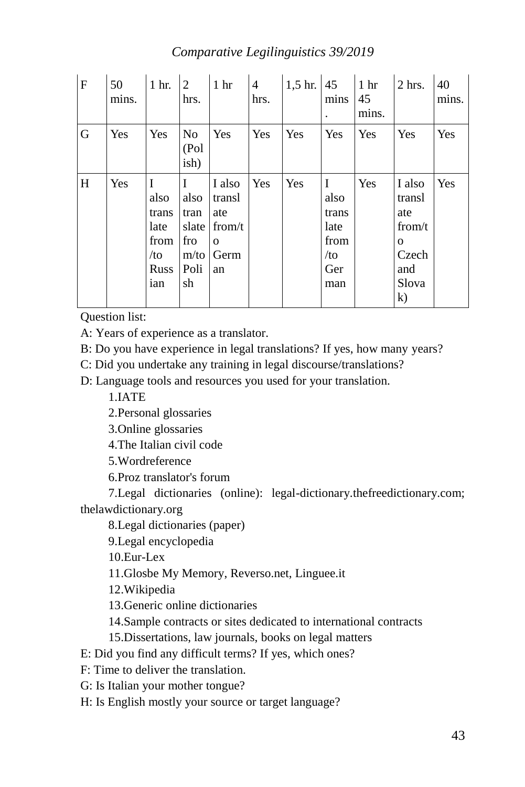#### *Comparative Legilinguistics 39/2019*

| $\mathbf{F}$ | 50<br>mins. | 1 hr.                                                                | $\overline{2}$<br>hrs.                                  | 1 <sub>hr</sub>                                             | 4<br>hrs. | $1,5$ hr. | 45<br>mins<br>$\ddot{\phantom{0}}$                         | 1 <sub>hr</sub><br>45<br>mins. | $2$ hrs.                                                                     | 40<br>mins. |
|--------------|-------------|----------------------------------------------------------------------|---------------------------------------------------------|-------------------------------------------------------------|-----------|-----------|------------------------------------------------------------|--------------------------------|------------------------------------------------------------------------------|-------------|
| G            | <b>Yes</b>  | Yes                                                                  | N <sub>0</sub><br>(Pol<br>ish)                          | Yes                                                         | Yes       | Yes       | Yes                                                        | Yes                            | Yes                                                                          | Yes         |
| H            | Yes         | I<br>also<br>trans<br>late<br>from<br>/t <sub>O</sub><br>Russ<br>ian | I<br>also<br>tran<br>slate<br>fro<br>m/to<br>Poli<br>sh | I also<br>transl<br>ate<br>from/t<br>$\Omega$<br>Germ<br>an | Yes       | Yes       | I<br>also<br>trans<br>late<br>from<br>$/$ to<br>Ger<br>man | Yes                            | I also<br>transl<br>ate<br>from/t<br>$\Omega$<br>Czech<br>and<br>Slova<br>k) | Yes         |

Question list:

A: Years of experience as a translator.

B: Do you have experience in legal translations? If yes, how many years?

C: Did you undertake any training in legal discourse/translations?

D: Language tools and resources you used for your translation.

1.IATE

2.Personal glossaries

3.Online glossaries

4.The Italian civil code

5.Wordreference

6.Proz translator's forum

7.Legal dictionaries (online): legal-dictionary.thefreedictionary.com; thelawdictionary.org

8.Legal dictionaries (paper)

9.Legal encyclopedia

10.Eur-Lex

11.Glosbe My Memory, Reverso.net, Linguee.it

12.Wikipedia

13.Generic online dictionaries

14.Sample contracts or sites dedicated to international contracts

15.Dissertations, law journals, books on legal matters

E: Did you find any difficult terms? If yes, which ones?

F: Time to deliver the translation.

G: Is Italian your mother tongue?

H: Is English mostly your source or target language?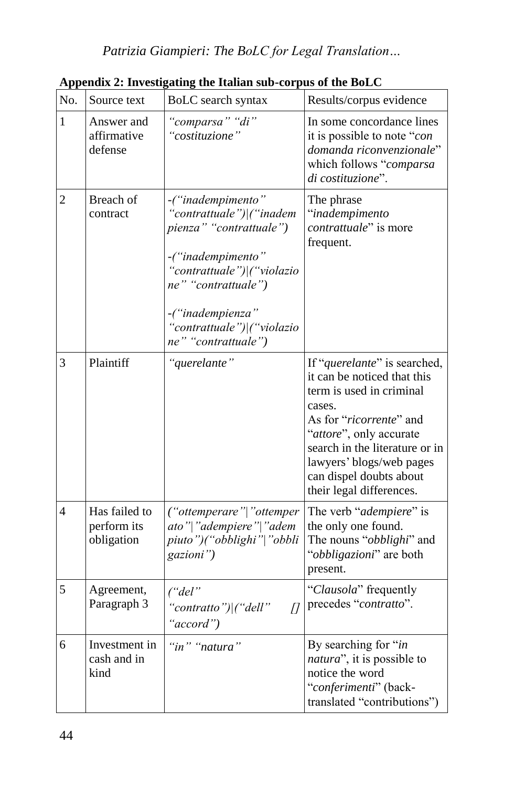| No.          | Source text                                | BoLC search syntax                                                                                                                                                                                                          | Results/corpus evidence                                                                                                                                                                                                                                                      |
|--------------|--------------------------------------------|-----------------------------------------------------------------------------------------------------------------------------------------------------------------------------------------------------------------------------|------------------------------------------------------------------------------------------------------------------------------------------------------------------------------------------------------------------------------------------------------------------------------|
|              |                                            |                                                                                                                                                                                                                             |                                                                                                                                                                                                                                                                              |
| $\mathbf{1}$ | Answer and<br>affirmative<br>defense       | "comparsa" "di"<br>"costituzione"                                                                                                                                                                                           | In some concordance lines<br>it is possible to note "con<br>domanda riconvenzionale"<br>which follows "comparsa<br>di costituzione".                                                                                                                                         |
| 2            | Breach of<br>contract                      | -("inadempimento"<br>"contrattuale") ("inadem<br>pienza" "contrattuale")<br>-("inadempimento"<br>"contrattuale") ("violazio<br>ne" "contrattuale")<br>-("inadempienza"<br>'contrattuale") ("violazio<br>ne" "contrattuale") | The phrase<br>"inadempimento<br>contrattuale" is more<br>frequent.                                                                                                                                                                                                           |
| 3            | Plaintiff                                  | "querelante"                                                                                                                                                                                                                | If "querelante" is searched,<br>it can be noticed that this<br>term is used in criminal<br>cases.<br>As for "ricorrente" and<br>"attore", only accurate<br>search in the literature or in<br>lawyers' blogs/web pages<br>can dispel doubts about<br>their legal differences. |
| 4            | Has failed to<br>perform its<br>obligation | ("ottemperare" "ottemper<br>ato" "adempiere" "adem<br>piuto")("obblighi" "obbli<br>gazioni")                                                                                                                                | The verb "adempiere" is<br>the only one found.<br>The nouns "obblighi" and<br>"obbligazioni" are both<br>present.                                                                                                                                                            |
| 5            | Agreement,<br>Paragraph 3                  | (''del'')<br>"contratto") ("dell"<br>$\overline{U}$<br>"accord")                                                                                                                                                            | "Clausola" frequently<br>precedes "contratto".                                                                                                                                                                                                                               |
| 6            | Investment in<br>cash and in<br>kind       | "in" "natura"                                                                                                                                                                                                               | By searching for "in<br><i>natura</i> ", it is possible to<br>notice the word<br>"conferimenti" (back-<br>translated "contributions")                                                                                                                                        |

**Appendix 2: Investigating the Italian sub-corpus of the BoLC**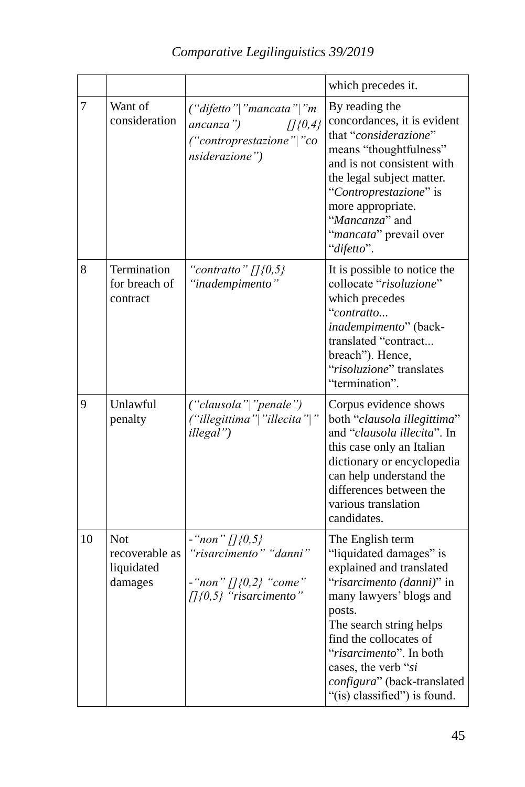|        |                                                       |                                                                                                         | which precedes it.                                                                                                                                                                                                                                                                                              |
|--------|-------------------------------------------------------|---------------------------------------------------------------------------------------------------------|-----------------------------------------------------------------------------------------------------------------------------------------------------------------------------------------------------------------------------------------------------------------------------------------------------------------|
| $\tau$ | Want of<br>consideration                              | $('difetto'']$ "mancata" "m<br>ancanza")<br>$[$ [{0,4}}<br>("controprestazione"   "co<br>nsiderazione") | By reading the<br>concordances, it is evident<br>that "considerazione"<br>means "thoughtfulness"<br>and is not consistent with<br>the legal subject matter.<br>"Controprestazione" is<br>more appropriate.<br>"Mancanza" and<br>"mancata" prevail over<br>"difetto".                                            |
| 8      | Termination<br>for breach of<br>contract              | "contratto" $\pi$ {0,5}<br>"inadempimento"                                                              | It is possible to notice the<br>collocate "risoluzione"<br>which precedes<br>"contratto<br>inadempimento" (back-<br>translated "contract<br>breach"). Hence,<br>"risoluzione" translates<br>"termination".                                                                                                      |
| 9      | Unlawful<br>penalty                                   | ("clausola" "penale")<br>("illegittima" "illecita" "<br>illegal")                                       | Corpus evidence shows<br>both "clausola illegittima"<br>and "clausola illecita". In<br>this case only an Italian<br>dictionary or encyclopedia<br>can help understand the<br>differences between the<br>various translation<br>candidates.                                                                      |
| 10     | <b>Not</b><br>recoverable as<br>liquidated<br>damages | $-$ "non" []{0,5}<br>"risarcimento" "danni"<br>$-$ "non" []{0,2} "come"<br>$[1(0.5)$ "risarcimento"     | The English term<br>"liquidated damages" is<br>explained and translated<br>"risarcimento (danni)" in<br>many lawyers' blogs and<br>posts.<br>The search string helps<br>find the collocates of<br>"risarcimento". In both<br>cases, the verb "si<br>configura" (back-translated<br>"(is) classified") is found. |